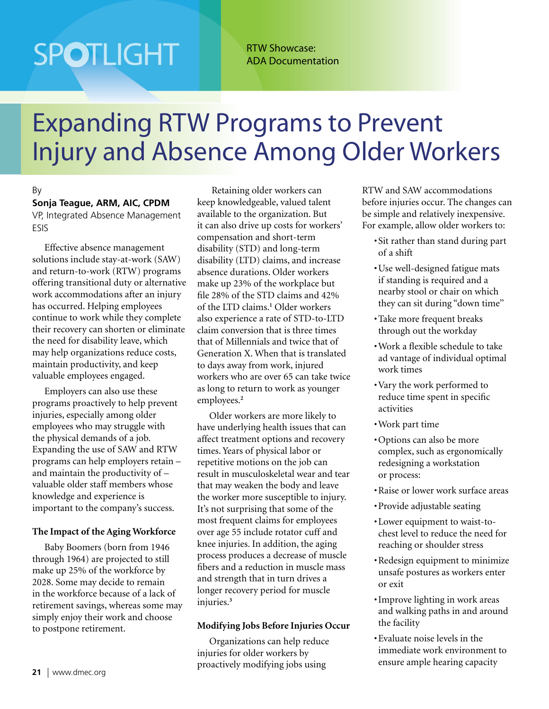# **SPOTLIGHT**

RTW Showcase: ADA Documentation

### Expanding RTW Programs to Prevent Injury and Absence Among Older Workers

#### By

**Sonja Teague, ARM, AIC, CPDM** VP, Integrated Absence Management ESIS

Effective absence management solutions include stay-at-work (SAW) and return-to-work (RTW) programs offering transitional duty or alternative work accommodations after an injury has occurred. Helping employees continue to work while they complete their recovery can shorten or eliminate the need for disability leave, which may help organizations reduce costs, maintain productivity, and keep valuable employees engaged.

Employers can also use these programs proactively to help prevent injuries, especially among older employees who may struggle with the physical demands of a job. Expanding the use of SAW and RTW programs can help employers retain – and maintain the productivity of – valuable older staff members whose knowledge and experience is important to the company's success.

#### **The Impact of the Aging Workforce**

Baby Boomers (born from 1946 through 1964) are projected to still make up 25% of the workforce by 2028. Some may decide to remain in the workforce because of a lack of retirement savings, whereas some may simply enjoy their work and choose to postpone retirement.

 Retaining older workers can keep knowledgeable, valued talent available to the organization. But it can also drive up costs for workers' compensation and short-term disability (STD) and long-term disability (LTD) claims, and increase absence durations. Older workers make up 23% of the workplace but file 28% of the STD claims and 42% of the LTD claims.**<sup>1</sup>** Older workers also experience a rate of STD-to-LTD claim conversion that is three times that of Millennials and twice that of Generation X. When that is translated to days away from work, injured workers who are over 65 can take twice as long to return to work as younger employees.**<sup>2</sup>**

Older workers are more likely to have underlying health issues that can affect treatment options and recovery times. Years of physical labor or repetitive motions on the job can result in musculoskeletal wear and tear that may weaken the body and leave the worker more susceptible to injury. It's not surprising that some of the most frequent claims for employees over age 55 include rotator cuff and knee injuries. In addition, the aging process produces a decrease of muscle fibers and a reduction in muscle mass and strength that in turn drives a longer recovery period for muscle injuries.**<sup>3</sup>**

#### **Modifying Jobs Before Injuries Occur**

Organizations can help reduce injuries for older workers by proactively modifying jobs using

RTW and SAW accommodations before injuries occur. The changes can be simple and relatively inexpensive. For example, allow older workers to:

- •Sit rather than stand during part of a shift
- •Use well-designed fatigue mats if standing is required and a nearby stool or chair on which they can sit during "down time''
- •Take more frequent breaks through out the workday
- •Work a flexible schedule to take ad vantage of individual optimal work times
- •Vary the work performed to reduce time spent in specific activities
- •Work part time
- •Options can also be more complex, such as ergonomically redesigning a workstation or process:
- •Raise or lower work surface areas
- •Provide adjustable seating
- •Lower equipment to waist-tochest level to reduce the need for reaching or shoulder stress
- •Redesign equipment to minimize unsafe postures as workers enter or exit
- •Improve lighting in work areas and walking paths in and around the facility
- •Evaluate noise levels in the immediate work environment to ensure ample hearing capacity